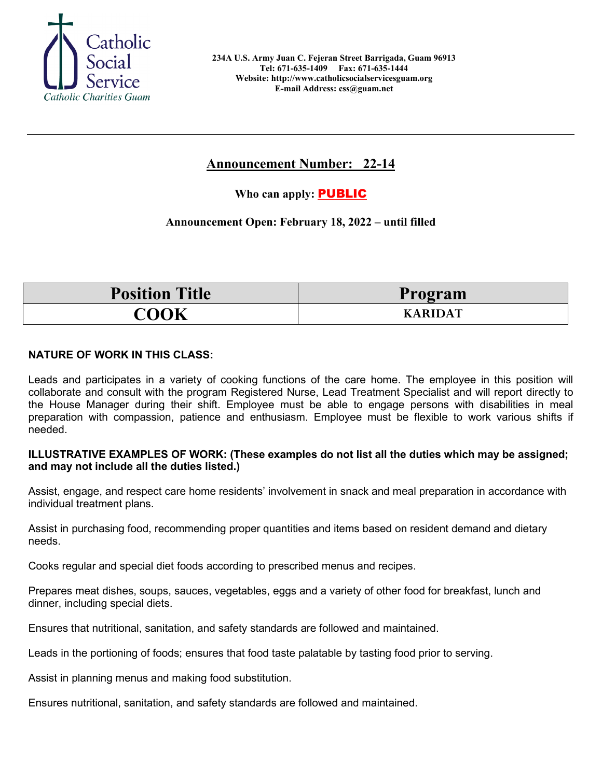

# **Announcement Number: 22-14**

**Who can apply:** PUBLIC

## **Announcement Open: February 18, 2022 – until filled**

| <b>Position Title</b> | Program        |
|-----------------------|----------------|
| COOK                  | <b>KARIDAT</b> |

### **NATURE OF WORK IN THIS CLASS:**

Leads and participates in a variety of cooking functions of the care home. The employee in this position will collaborate and consult with the program Registered Nurse, Lead Treatment Specialist and will report directly to the House Manager during their shift. Employee must be able to engage persons with disabilities in meal preparation with compassion, patience and enthusiasm. Employee must be flexible to work various shifts if needed.

#### **ILLUSTRATIVE EXAMPLES OF WORK: (These examples do not list all the duties which may be assigned; and may not include all the duties listed.)**

Assist, engage, and respect care home residents' involvement in snack and meal preparation in accordance with individual treatment plans.

Assist in purchasing food, recommending proper quantities and items based on resident demand and dietary needs.

Cooks regular and special diet foods according to prescribed menus and recipes.

Prepares meat dishes, soups, sauces, vegetables, eggs and a variety of other food for breakfast, lunch and dinner, including special diets.

Ensures that nutritional, sanitation, and safety standards are followed and maintained.

Leads in the portioning of foods; ensures that food taste palatable by tasting food prior to serving.

Assist in planning menus and making food substitution.

Ensures nutritional, sanitation, and safety standards are followed and maintained.